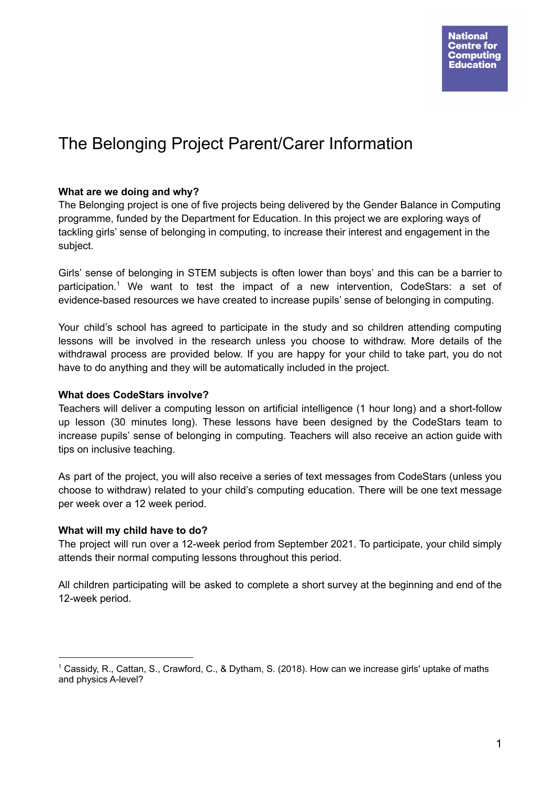# The Belonging Project Parent/Carer Information

# **What are we doing and why?**

The Belonging project is one of five projects being delivered by the Gender Balance in Computing programme, funded by the Department for Education. In this project we are exploring ways of tackling girls' sense of belonging in computing, to increase their interest and engagement in the subject.

Girls' sense of belonging in STEM subjects is often lower than boys' and this can be a barrier to participation. <sup>1</sup> We want to test the impact of a new intervention, CodeStars: a set of evidence-based resources we have created to increase pupils' sense of belonging in computing.

Your child's school has agreed to participate in the study and so children attending computing lessons will be involved in the research unless you choose to withdraw. More details of the withdrawal process are provided below. If you are happy for your child to take part, you do not have to do anything and they will be automatically included in the project.

# **What does CodeStars involve?**

Teachers will deliver a computing lesson on artificial intelligence (1 hour long) and a short-follow up lesson (30 minutes long). These lessons have been designed by the CodeStars team to increase pupils' sense of belonging in computing. Teachers will also receive an action guide with tips on inclusive teaching.

As part of the project, you will also receive a series of text messages from CodeStars (unless you choose to withdraw) related to your child's computing education. There will be one text message per week over a 12 week period.

# **What will my child have to do?**

The project will run over a 12-week period from September 2021. To participate, your child simply attends their normal computing lessons throughout this period.

All children participating will be asked to complete a short survey at the beginning and end of the 12-week period.

 $1$  Cassidy, R., Cattan, S., Crawford, C., & Dytham, S. (2018). How can we increase girls' uptake of maths and physics A-level?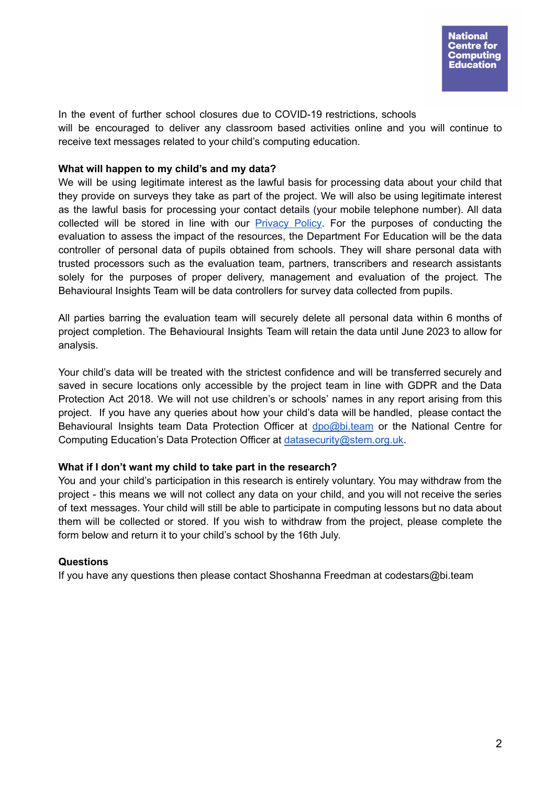In the event of further school closures due to COVID-19 restrictions, schools will be encouraged to deliver any classroom based activities online and you will continue to receive text messages related to your child's computing education.

#### **What will happen to my child's and my data?**

We will be using legitimate interest as the lawful basis for processing data about your child that they provide on surveys they take as part of the project. We will also be using legitimate interest as the lawful basis for processing your contact details (your mobile telephone number). All data collected will be stored in line with our [Privacy](https://teachcomputing.org/privacy) Policy. For the purposes of conducting the evaluation to assess the impact of the resources, the Department For Education will be the data controller of personal data of pupils obtained from schools. They will share personal data with trusted processors such as the evaluation team, partners, transcribers and research assistants solely for the purposes of proper delivery, management and evaluation of the project. The Behavioural Insights Team will be data controllers for survey data collected from pupils.

All parties barring the evaluation team will securely delete all personal data within 6 months of project completion. The Behavioural Insights Team will retain the data until June 2023 to allow for analysis.

Your child's data will be treated with the strictest confidence and will be transferred securely and saved in secure locations only accessible by the project team in line with GDPR and the Data Protection Act 2018. We will not use children's or schools' names in any report arising from this project. If you have any queries about how your child's data will be handled, please contact the Behavioural Insights team Data Protection Officer at dpo@bi.team or the National Centre for Computing Education's Data Protection Officer at [datasecurity@stem.org.uk.](mailto:datasecurity@stem.org.uk)

# **What if I don't want my child to take part in the research?**

You and your child's participation in this research is entirely voluntary. You may withdraw from the project - this means we will not collect any data on your child, and you will not receive the series of text messages. Your child will still be able to participate in computing lessons but no data about them will be collected or stored. If you wish to withdraw from the project, please complete the form below and return it to your child's school by the 16th July.

# **Questions**

If you have any questions then please contact Shoshanna Freedman at codestars@bi.team